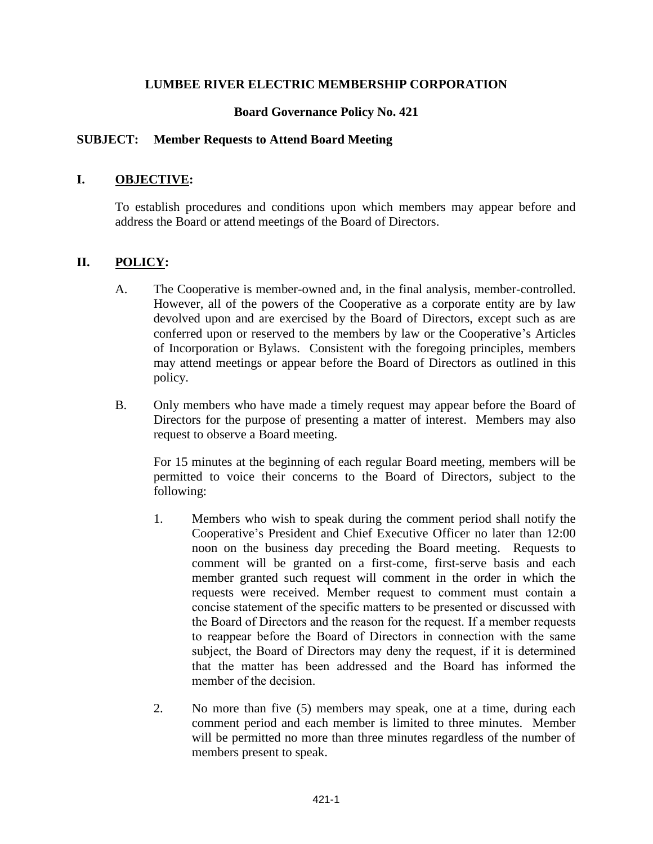## **LUMBEE RIVER ELECTRIC MEMBERSHIP CORPORATION**

## **Board Governance Policy No. 421**

#### **SUBJECT: Member Requests to Attend Board Meeting**

#### **I. OBJECTIVE:**

To establish procedures and conditions upon which members may appear before and address the Board or attend meetings of the Board of Directors.

#### **II. POLICY:**

- A. The Cooperative is member-owned and, in the final analysis, member-controlled. However, all of the powers of the Cooperative as a corporate entity are by law devolved upon and are exercised by the Board of Directors, except such as are conferred upon or reserved to the members by law or the Cooperative's Articles of Incorporation or Bylaws. Consistent with the foregoing principles, members may attend meetings or appear before the Board of Directors as outlined in this policy.
- B. Only members who have made a timely request may appear before the Board of Directors for the purpose of presenting a matter of interest. Members may also request to observe a Board meeting.

For 15 minutes at the beginning of each regular Board meeting, members will be permitted to voice their concerns to the Board of Directors, subject to the following:

- 1. Members who wish to speak during the comment period shall notify the Cooperative's President and Chief Executive Officer no later than 12:00 noon on the business day preceding the Board meeting. Requests to comment will be granted on a first-come, first-serve basis and each member granted such request will comment in the order in which the requests were received. Member request to comment must contain a concise statement of the specific matters to be presented or discussed with the Board of Directors and the reason for the request. If a member requests to reappear before the Board of Directors in connection with the same subject, the Board of Directors may deny the request, if it is determined that the matter has been addressed and the Board has informed the member of the decision.
- 2. No more than five (5) members may speak, one at a time, during each comment period and each member is limited to three minutes. Member will be permitted no more than three minutes regardless of the number of members present to speak.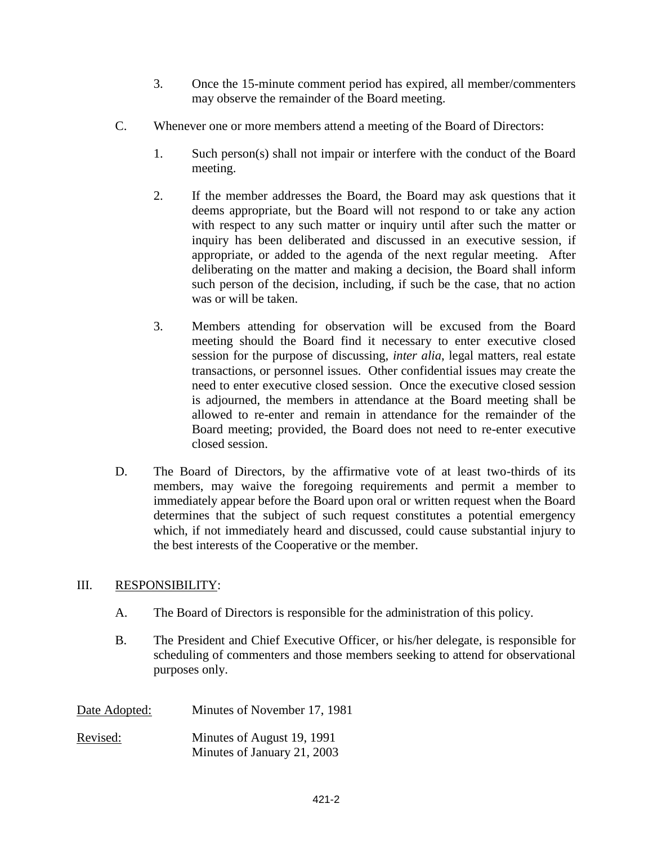- 3. Once the 15-minute comment period has expired, all member/commenters may observe the remainder of the Board meeting.
- C. Whenever one or more members attend a meeting of the Board of Directors:
	- 1. Such person(s) shall not impair or interfere with the conduct of the Board meeting.
	- 2. If the member addresses the Board, the Board may ask questions that it deems appropriate, but the Board will not respond to or take any action with respect to any such matter or inquiry until after such the matter or inquiry has been deliberated and discussed in an executive session, if appropriate, or added to the agenda of the next regular meeting. After deliberating on the matter and making a decision, the Board shall inform such person of the decision, including, if such be the case, that no action was or will be taken.
	- 3. Members attending for observation will be excused from the Board meeting should the Board find it necessary to enter executive closed session for the purpose of discussing, *inter alia*, legal matters, real estate transactions, or personnel issues. Other confidential issues may create the need to enter executive closed session. Once the executive closed session is adjourned, the members in attendance at the Board meeting shall be allowed to re-enter and remain in attendance for the remainder of the Board meeting; provided, the Board does not need to re-enter executive closed session.
- D. The Board of Directors, by the affirmative vote of at least two-thirds of its members, may waive the foregoing requirements and permit a member to immediately appear before the Board upon oral or written request when the Board determines that the subject of such request constitutes a potential emergency which, if not immediately heard and discussed, could cause substantial injury to the best interests of the Cooperative or the member.

# III. RESPONSIBILITY:

- A. The Board of Directors is responsible for the administration of this policy.
- B. The President and Chief Executive Officer, or his/her delegate, is responsible for scheduling of commenters and those members seeking to attend for observational purposes only.

| Date Adopted: | Minutes of November 17, 1981                              |
|---------------|-----------------------------------------------------------|
| Revised:      | Minutes of August 19, 1991<br>Minutes of January 21, 2003 |